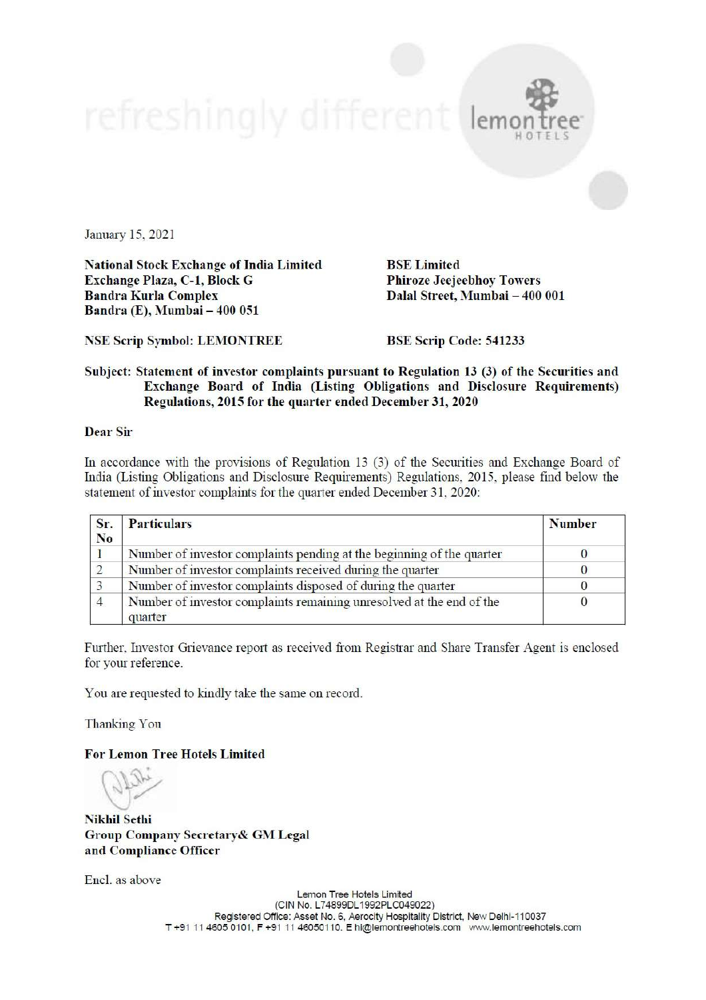

January 15, 2021

**National Stock Exchange of India Limited** Exchange Plaza, C-1, Block G **Bandra Kurla Complex** Bandra (E), Mumbai - 400 051

**BSE** Limited **Phiroze Jeejeebhoy Towers** Dalal Street, Mumbai - 400 001

**NSE Scrip Symbol: LEMONTREE** 

**BSE Scrip Code: 541233** 

## Subject: Statement of investor complaints pursuant to Regulation 13 (3) of the Securities and Exchange Board of India (Listing Obligations and Disclosure Requirements) Regulations, 2015 for the quarter ended December 31, 2020

## **Dear Sir**

In accordance with the provisions of Regulation 13 (3) of the Securities and Exchange Board of India (Listing Obligations and Disclosure Requirements) Regulations, 2015, please find below the statement of investor complaints for the quarter ended December 31, 2020:

| Sr.<br>No. | <b>Particulars</b>                                                              | <b>Number</b> |  |
|------------|---------------------------------------------------------------------------------|---------------|--|
|            | Number of investor complaints pending at the beginning of the quarter           |               |  |
|            | Number of investor complaints received during the quarter                       |               |  |
|            | Number of investor complaints disposed of during the quarter                    |               |  |
|            | Number of investor complaints remaining unresolved at the end of the<br>quarter |               |  |

Further, Investor Grievance report as received from Registrar and Share Transfer Agent is enclosed for your reference.

You are requested to kindly take the same on record.

Thanking You

**For Lemon Tree Hotels Limited** 

**Nikhil Sethi Group Company Secretary & GM Legal** and Compliance Officer

Encl. as above

Lemon Tree Hotels Limited (CIN No. L74899DL1992PLC049022) Registered Office: Asset No. 6, Aerocity Hospitality District, New Delhi-110037 T+91 11 4605 0101, F+91 11 46050110. E hi@lemontreehotels.com www.lemontreehotels.com